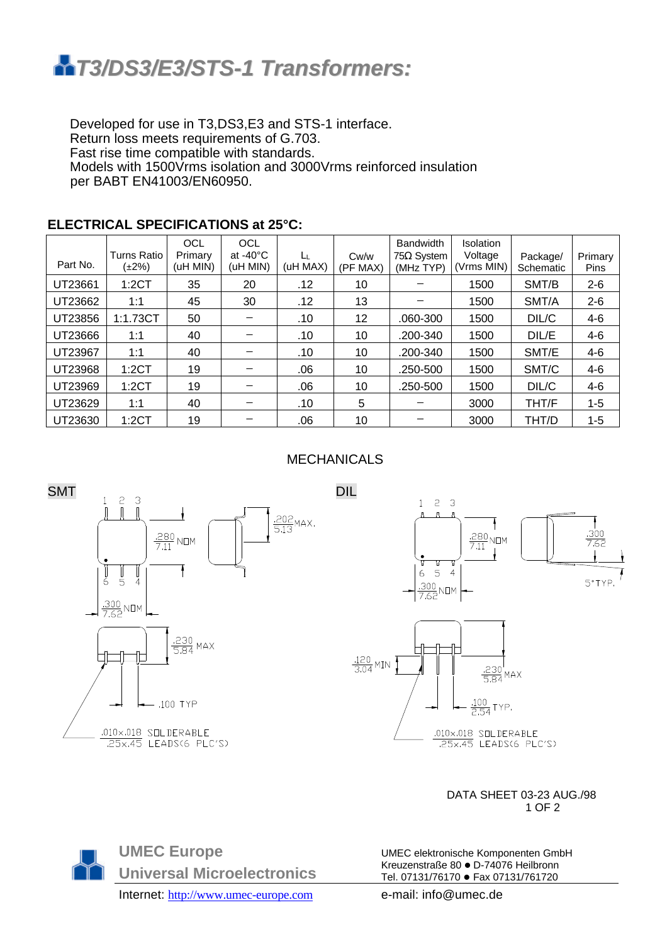

Developed for use in T3,DS3,E3 and STS-1 interface. Return loss meets requirements of G.703. Fast rise time compatible with standards. Models with 1500Vrms isolation and 3000Vrms reinforced insulation per BABT EN41003/EN60950.

| Part No. | <b>Turns Ratio</b><br>(±2%) | <b>OCL</b><br>Primary<br>(uH MIN) | OCL<br>at -40 $^{\circ}$ C<br>(uH MIN) | Ŀμ<br>(uH MAX) | Cw/w<br>(PF MAX) | <b>Bandwidth</b><br>$75\Omega$ System<br>(MHz TYP) | <b>Isolation</b><br>Voltage<br>(Vrms MIN) | Package/<br>Schematic | Primary<br><b>Pins</b> |
|----------|-----------------------------|-----------------------------------|----------------------------------------|----------------|------------------|----------------------------------------------------|-------------------------------------------|-----------------------|------------------------|
| UT23661  | 1:2CT                       | 35                                | 20                                     | .12            | 10               |                                                    | 1500                                      | SMT/B                 | $2 - 6$                |
| UT23662  | 1:1                         | 45                                | 30                                     | .12            | 13               |                                                    | 1500                                      | SMT/A                 | $2 - 6$                |
| UT23856  | 1:1.73CT                    | 50                                |                                        | .10            | 12               | .060-300                                           | 1500                                      | DIL/C                 | 4-6                    |
| UT23666  | 1:1                         | 40                                |                                        | .10            | 10               | .200-340                                           | 1500                                      | DIL/E                 | $4-6$                  |
| UT23967  | 1:1                         | 40                                |                                        | .10            | 10               | .200-340                                           | 1500                                      | SMT/E                 | 4-6                    |
| UT23968  | 1:2CT                       | 19                                |                                        | .06            | 10               | .250-500                                           | 1500                                      | SMT/C                 | $4-6$                  |
| UT23969  | 1:2CT                       | 19                                |                                        | .06            | 10               | .250-500                                           | 1500                                      | DIL/C                 | $4 - 6$                |
| UT23629  | 1:1                         | 40                                |                                        | .10            | 5                |                                                    | 3000                                      | THT/F                 | $1 - 5$                |
| UT23630  | 1:2CT                       | 19                                |                                        | .06            | 10               |                                                    | 3000                                      | THT/D                 | $1 - 5$                |

## **ELECTRICAL SPECIFICATIONS at 25°C:**

## MECHANICALS



 DATA SHEET 03-23 AUG./98  $1$  OF 2

**UMEC Europe Universal Microelectronics**

UMEC elektronische Komponenten GmbH Kreuzenstraße 80 · D-74076 Heilbronn Tel. 07131/76170 · Fax 07131/761720

Internet: http://www.umec-europe.com e-mail: info@umec.de